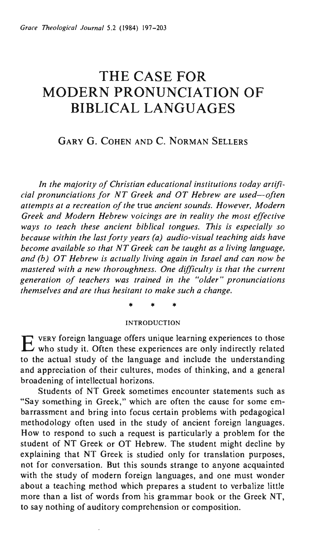# **THE CASE FOR MODERN PRONUNCIATION OF BIBLICAL LANGUAGES**

# GARY G. COHEN AND C. NORMAN SELLERS

*In the majority of Christian educational institutions today artificial pronunciations for NT Greek and OT Hebrew are used-often attempts at a recreation of the* true *ancient sounds. However, Modern Greek and Modern Hebrew voicings are in reality the most effective ways to teach these ancient biblical tongues. This is especially so because within the last forty years (a) audio-visual teaching aids have become available so that NT Greek can be taught as a living language, and (b) OT Hebrew is actually living again in Israel and can now be mastered with a new thoroughness. One difficulty is that the current*  generation of teachers was trained in the "older" pronunciations *themselves and are thus hesitant to make such a change.* 

\* \* \*

#### INTRODUCTION

EVERY foreign language offers unique learning experiences to those who study it. Often these experiences are only indirectly related to the actual study of the language and include the understanding and appreciation of their cultures, modes of thinking, and a general broadening of intellectual horizons.

Students of NT Greek sometimes encounter statements such as "Say something in Greek," which are often the cause for some embarrassment and bring into focus certain problems with pedagogical methodology often used in the study of ancient foreign languages. How to respond to such a request is particularly a problem for the student of NT Greek or OT Hebrew. The student might decline by explaining that NT Greek is studied only for translation purposes, not for conversation. But this sounds strange to anyone acquainted with the study of modern foreign languages, and one must wonder about a teaching method which prepares a student to verbalize little more than a list of words from his grammar book or the Greek NT, to say nothing of auditory comprehension or composition.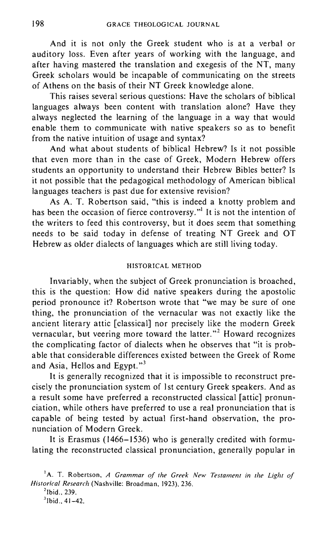And it is not only the Greek student who is at a verbal or auditory loss. Even after years of working with the language, and after having mastered the translation and exegesis of the NT, many Greek scholars would be incapable of communicating on the streets of Athens on the basis of their NT Greek knowledge alone.

This raises several serious questions: Have the scholars of biblical languages always been content with translation alone? Have they always neglected the learning of the language in a way that would enable them to communicate with native speakers so as to benefit from the native intuition of usage and syntax?

And what about students of biblical Hebrew? Is it not possible that even more than in the case of Greek, Modern Hebrew offers students an opportunity to understand their Hebrew Bibles better? Is it not possible that the pedagogical methodology of American biblical languages teachers is past due for extensive revision?

As A. T. Robertson said, "this is indeed a knotty problem and has been the occasion of fierce controversy."<sup>1</sup> It is not the intention of the writers to feed this controversy, but it does seem that something needs to be said today in defense of treating NT Greek and OT Hebrew as older dialects of languages which are still living today.

### HISTORICAL METHOD

Invariably, when the subject of Greek pronunciation is broached, this is the question: How did native speakers during the apostolic period pronounce it? Robertson wrote that "we may be sure of one thing, the pronunciation of the vernacular was not exactly like the ancient literary attic [classical] nor precisely like the modern Greek vernacular, but veering more toward the latter."<sup>2</sup> Howard recognizes the complicating factor of dialects when he observes that "it is probable that considerable differences existed between the Greek of Rome and Asia, Hellos and Egypt. $"$ <sup>3</sup>

It is generally recognized that it is impossible to reconstruct precisely the pronunciation system of 1st century Greek speakers. And as a result some have preferred a reconstructed classical [attic] pronunciation, while others have preferred to use a real pronunciation that is capable of being tested by actual first-hand observation, the pronunciation of Modern Greek.

It is Erasmus (1466-1536) who is generally credited with formulating the reconstructed classical pronunciation, generally popular in

<sup>&</sup>lt;sup>1</sup>A. T. Robertson, *A Grammar of the Greek New Testament in the Light of Historical Research* (Nashville: Broadman, 1923),236.

 $21$ bid., 239.

 $3$  Ibid., 41-42.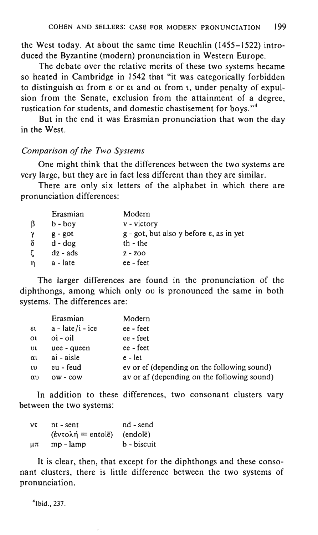the West today. At about the same time Reuchlin (1455-1522) introduced the Byzantine (modern) pronunciation in Western Europe.

The debate over the relative merits of these two systems became so heated in Cambridge in 1542 that "it was categorically forbidden to distinguish  $\alpha$  from  $\varepsilon$  or  $\varepsilon$  and ot from  $\iota$ , under penalty of expulsion from the Senate, exclusion from the attainment of a degree, rustication for students, and domestic chastisement for boys."<sup>4</sup>

But in the end it was Erasmian pronunciation that won the day in the West.

#### *Comparison of the Two Systems*

One might think that the differences between the two systems are very large, but they are in fact less different than they are similar.

There are only six letters of the alphabet in which there are pronunciation differences:

|               | Erasmian               | Modern                                                               |
|---------------|------------------------|----------------------------------------------------------------------|
| ß             | $b - boy$              | $v - victory$                                                        |
| $\gamma$<br>δ | $g - got$<br>$d - dog$ | $g$ - got, but also y before $\varepsilon$ , as in yet<br>$th$ - the |
| Ľ.            | $dz - ads$             | $2 - 200$                                                            |
| 'n            | a - late               | ee - feet                                                            |

The larger differences are found in the pronunciation of the diphthongs, among which only ou is pronounced the same in both systems. The differences are:

|                    | Erasmian                         | Modern                                      |
|--------------------|----------------------------------|---------------------------------------------|
| $\epsilon$         | $a - \text{late}/i - \text{ice}$ | ee - feet                                   |
| $\Omega$           | $o$ i - $o$ il                   | ee - feet                                   |
| $\upsilon\upsilon$ | uee - queen                      | ee - feet                                   |
| $\alpha_1$         | ai - aisle                       | $e - let$                                   |
| $\mathfrak{w}$     | eu - feud                        | ev or ef (depending on the following sound) |
| αυ                 | $ow - cow$                       | av or af (depending on the following sound) |

In addition to these differences, two consonant clusters vary between the two systems:

| ντ | $nt - sent$          | nd - send   |
|----|----------------------|-------------|
|    | $($ έντολή = entolē) | (endolē)    |
| μπ | mp - lamp            | b - biscuit |

It is clear, then, that except for the diphthongs and these consonant clusters, there is little difference between the two systems of pronunciation.

<sup>4</sup> Ibid., 237.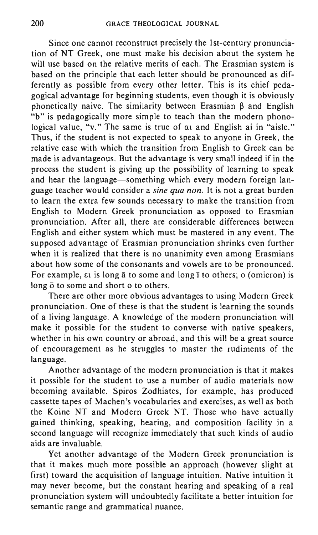Since one cannot reconstruct precisely the 1st-century pronunciation of NT Greek, one must make his decision about the system he will use based on the relative merits of each. The Erasmian system is based on the principle that each letter should be pronounced as differently as possible from every other letter. This is its chief pedagogical advantage for beginning students, even though it is obviously phonetically naive. The similarity between Erasmian  $\beta$  and English "b" is pedagogically more simple to teach than the modern phonological value, "v." The same is true of at and English ai in "aisle." Thus, if the student is not expected to speak to anyone in Greek, the relative ease with which the transition from English to Greek can be made is advantageous. But the advantage is very small indeed if in the process the student is giving up the possibility of learning to speak and hear the language-something which every modern foreign language teacher would consider a *sine qua non.* It is not a great burden to learn the extra few sounds necessary to make the transition from English to Modern Greek pronunciation as opposed to Erasmian pronunciation. After all, there are considerable differences between English and either system which must be mastered in any event. The supposed advantage of Erasmian pronunciation shrinks even further when it is realized that there is no unanimity even among Erasmians about how some of the consonants and vowels are to be pronounced. For example,  $\varepsilon$ t is long  $\bar{a}$  to some and long  $\bar{\iota}$  to others; o (omicron) is long  $\bar{o}$  to some and short o to others.

There are other more obvious advantages to using Modern Greek pronunciation. One of these is that the student is learning the sounds of a living language. A knowledge of the modern pronunciation will make it possible for the student to converse with native speakers, whether in his own country or abroad, and this will be a great source of encouragement as he struggles to master the rudiments of the language.

Another advantage of the modern pronunciation is that it makes it possible for the student to use a number of audio materials now becoming available. Spiros Zodhiates, for example, has produced cassette tapes of Machen's vocabularies and exercises, as well as both the Koine NT and Modern Greek NT. Those who have actually gained thinking, speaking, hearing, and composition facility in a second language will recognize immediately that such kinds of audio aids are invaluable.

Yet another advantage of the Modern Greek pronunciation is that it makes much more possible an approach (however slight at first) toward the acquisition of language intuition. Native intuition it may never become, but the constant hearing and speaking of a real pronunciation system will undoubtedly facilitate a better intuition for semantic range and grammatical nuance.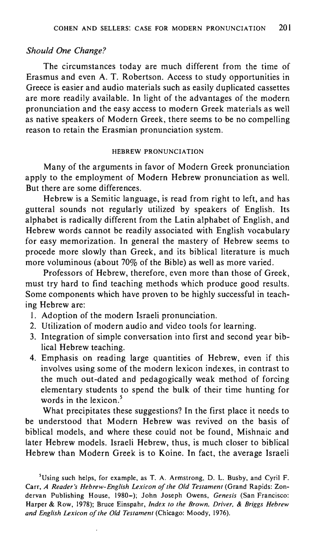## *Should One Change?*

The circumstances today are much different from the time of Erasmus and even A. T. Robertson. Access to study opportunities in Greece is easier and audio materials such as easily duplicated cassettes are more readily available. In light of the advantages of the modern pronunciation and the easy access to modern Greek materials as well as native speakers of Modern Greek, there seems to be no compelling reason to retain the Erasmian pronunciation system.

#### HEBREW PRONUNCIATION

Many of the arguments in favor of Modern Greek pronunciation apply to the employment of Modern Hebrew pronunciation as well. But there are some differences.

Hebrew is a Semitic language, is read from right to left, and has gutteral sounds not regularly utilized by speakers of English. Its alphabet is radically different from the Latin alphabet of English, and Hebrew words cannot be readily associated with English vocabulary for easy memorization. In general the mastery of Hebrew seems to procede more slowly than Greek, and its biblical literature is much more voluminous (about 70% of the Bible) as well as more varied.

Professors of Hebrew, therefore, even more than those of Greek, must try hard to find teaching methods which produce good results. Some components which have proven to be highly successful in teaching Hebrew are:

- I. Adoption of the modern Israeli pronunciation.
- 2. Utilization of modern audio and video tools for learning.
- 3. Integration of simple conversation into first and second year biblical Hebrew teaching.
- 4. Emphasis on reading large quantities of Hebrew, even if this involves using some of the modern lexicon indexes, in contrast to the much out-dated and pedagogically weak method of forcing elementary students to spend the bulk of their time hunting for words in the lexicon. $5$

What precipitates these suggestions? In the first place it needs to be understood that Modern Hebrew was revived on the basis of biblical models, and where these could not be found, Mishnaic and later Hebrew models. Israeli Hebrew, thus, is much closer to biblical Hebrew than Modern Greek is to Koine. In fact, the average Israeli

<sup>&</sup>lt;sup>5</sup>Using such helps, for example, as T. A. Armstrong, D. L. Busby, and Cyril F. Carr, *A Reader's Hebrew-English Lexicon of the Old Testament* (Grand Rapids: Zondervan Publishing House, 1980-); John Joseph Owens, *Genesis* (San Francisco: Harper & Row, 1978); Bruce Einspahr, *Index to the Brown, Driver,* & *Briggs Hebrew and English Lexicon of the Old Testament* (Chicago: Moody, 1976).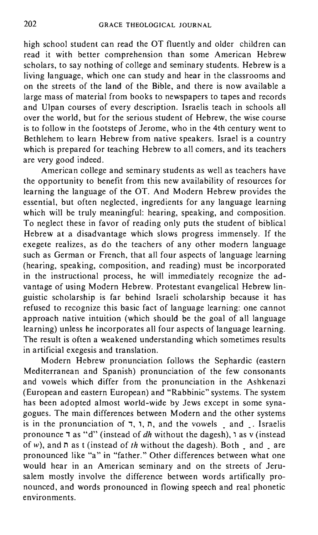high school student can read the OT fluently and older children can read it with better comprehension than some American Hebrew scholars, to say nothing of college and seminary students. Hebrew is a living language, which one can study and hear in the classrooms and on the streets of the land of the Bible, and there is now available a large mass of material from books to newspapers to tapes and records and Ulpan courses of every description. Israelis teach in schools all over the world, but for the serious student of Hebrew, the wise course is to follow in the footsteps of Jerome, who in the 4th century went to Bethlehem to learn Hebrew from native speakers. Israel is a country which is prepared for teaching Hebrew to all comers, and its teachers are very good indeed.

American college and seminary students as well as teachers have the opportunity to benefit from this new availability of resources for learning the language of the OT. And Modern Hebrew provides the essential, but often neglected, ingredients for any language learning which will be truly meaningful: hearing, speaking, and composition. To neglect these in favor of reading only puts the student of biblical Hebrew at a disadvantage which slows progress immensely. If the exegete realizes, as do the teachers of any other modern language such as German or French, that all four aspects of language learning (hearing, speaking, composition, and reading) must be incorporated in the instructional process, he will immediately recognize the advantage of using Modern Hebrew. Protestant evangelical Hebrew linguistic scholarship is far behind Israeli scholarship because it has refused to recognize this basic fact of language learning: one cannot approach native intuition (which should be the goal of all language learning) unless he incorporates all four aspects of language learning. The result is often a weakened understanding which sometimes results in artificial exegesis and translation.

Modern Hebrew pronunciation follows the Sephardic (eastern Mediterranean and Spanish) pronunciation of the few consonants and vowels which differ from the pronunciation in the Ashkenazi (European and eastern European) and "Rabbinic" systems. The system has been adopted almost world-wide by Jews except in some synagogues. The main differences between Modern and the other systems is in the pronunciation of  $\pi$ ,  $\pi$ ,  $\pi$ , and the vowels  $\pi$  and  $\pi$ . Israelis pronounce  $\bar{\tau}$  as "d" (instead of *dh* without the dagesh),  $\bar{\tau}$  as v (instead of w), and  $\overline{n}$  as t (instead of *th* without the dagesh). Both  $\overline{\phantom{a}}$  and  $\overline{\phantom{a}}$  are pronounced like "a" in "father." Other differences between what one would hear in an American seminary and on the streets of Jerusalem mostly involve the difference between words artifically pronounced, and words pronounced in flowing speech and real phonetic environments.